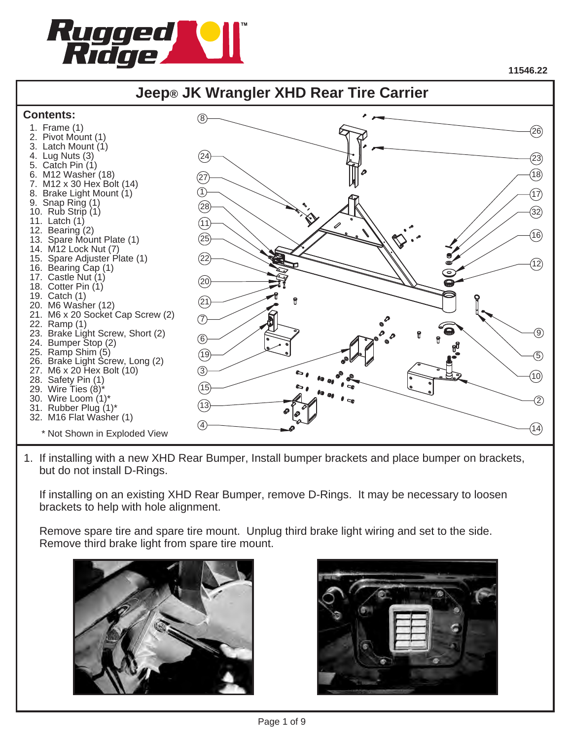

## **Jeep® JK Wrangler XHD Rear Tire Carrier**



1. If installing with a new XHD Rear Bumper, Install bumper brackets and place bumper on brackets, but do not install D-Rings.

 If installing on an existing XHD Rear Bumper, remove D-Rings. It may be necessary to loosen brackets to help with hole alignment.

 Remove spare tire and spare tire mount. Unplug third brake light wiring and set to the side. Remove third brake light from spare tire mount.



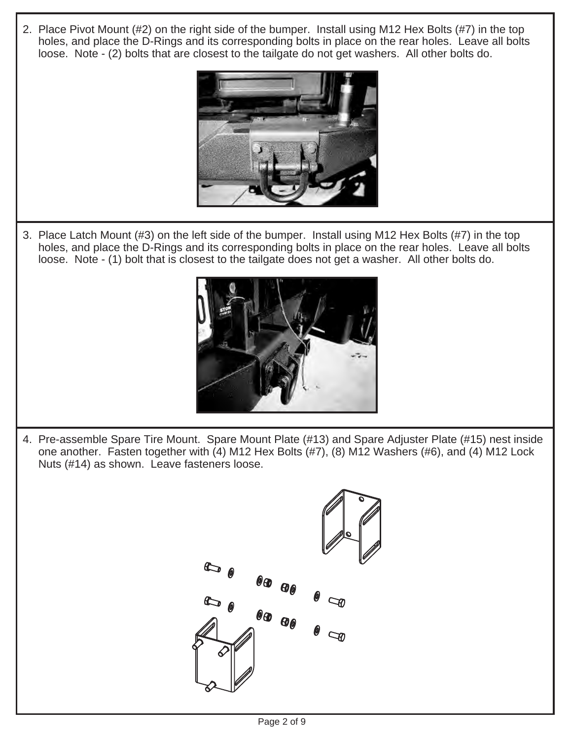2. Place Pivot Mount (#2) on the right side of the bumper. Install using M12 Hex Bolts (#7) in the top holes, and place the D-Rings and its corresponding bolts in place on the rear holes. Leave all bolts loose. Note - (2) bolts that are closest to the tailgate do not get washers. All other bolts do.



3. Place Latch Mount (#3) on the left side of the bumper. Install using M12 Hex Bolts (#7) in the top holes, and place the D-Rings and its corresponding bolts in place on the rear holes. Leave all bolts loose. Note - (1) bolt that is closest to the tailgate does not get a washer. All other bolts do.



4. Pre-assemble Spare Tire Mount. Spare Mount Plate (#13) and Spare Adjuster Plate (#15) nest inside one another. Fasten together with (4) M12 Hex Bolts (#7), (8) M12 Washers (#6), and (4) M12 Lock Nuts (#14) as shown. Leave fasteners loose.

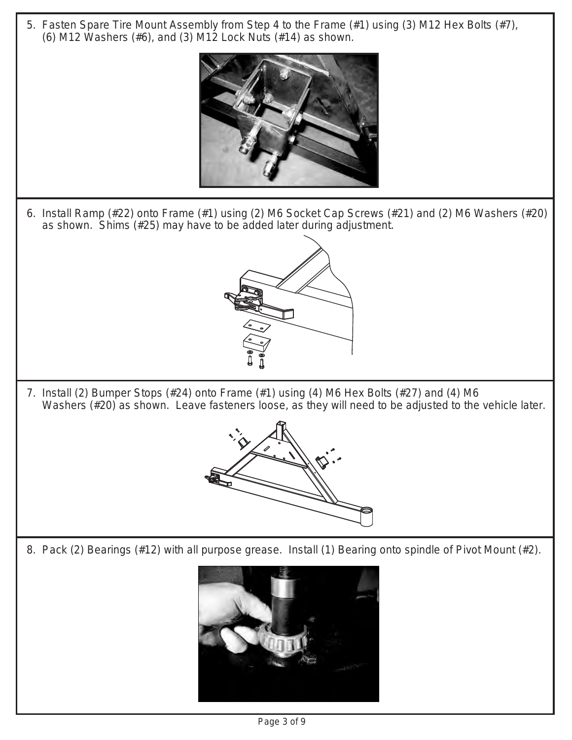5. Fasten Spare Tire Mount Assembly from Step 4 to the Frame (#1) using (3) M12 Hex Bolts (#7), (6) M12 Washers (#6), and (3) M12 Lock Nuts (#14) as shown.



6. Install Ramp (#22) onto Frame (#1) using (2) M6 Socket Cap Screws (#21) and (2) M6 Washers (#20) as shown. Shims (#25) may have to be added later during adjustment.



7. Install (2) Bumper Stops (#24) onto Frame (#1) using (4) M6 Hex Bolts (#27) and (4) M6 Washers (#20) as shown. Leave fasteners loose, as they will need to be adjusted to the vehicle later.



8. Pack (2) Bearings (#12) with all purpose grease. Install (1) Bearing onto spindle of Pivot Mount (#2).

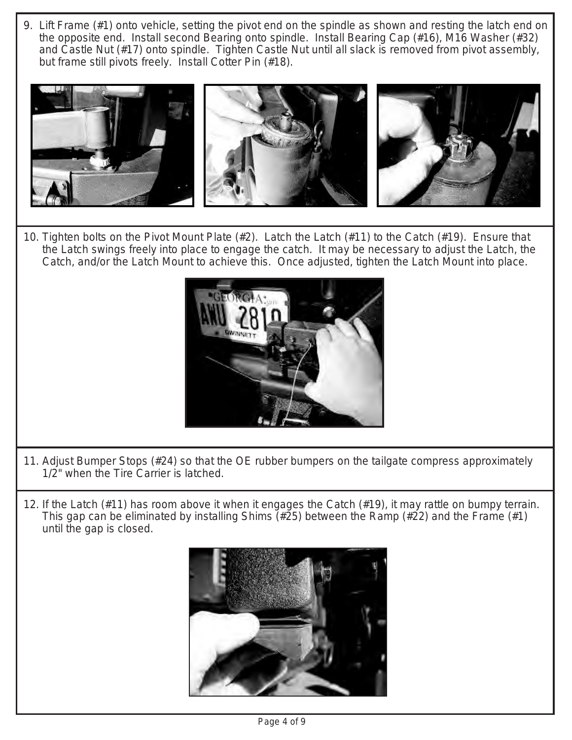9. Lift Frame (#1) onto vehicle, setting the pivot end on the spindle as shown and resting the latch end on the opposite end. Install second Bearing onto spindle. Install Bearing Cap (#16), M16 Washer (#32) and Castle Nut (#17) onto spindle. Tighten Castle Nut until all slack is removed from pivot assembly, but frame still pivots freely. Install Cotter Pin (#18).



10. Tighten bolts on the Pivot Mount Plate (#2). Latch the Latch (#11) to the Catch (#19). Ensure that the Latch swings freely into place to engage the catch. It may be necessary to adjust the Latch, the Catch, and/or the Latch Mount to achieve this. Once adjusted, tighten the Latch Mount into place.



- 11. Adjust Bumper Stops (#24) so that the OE rubber bumpers on the tailgate compress approximately 1/2" when the Tire Carrier is latched.
- 12. If the Latch (#11) has room above it when it engages the Catch (#19), it may rattle on bumpy terrain. This gap can be eliminated by installing Shims (#25) between the Ramp (#22) and the Frame (#1) until the gap is closed.

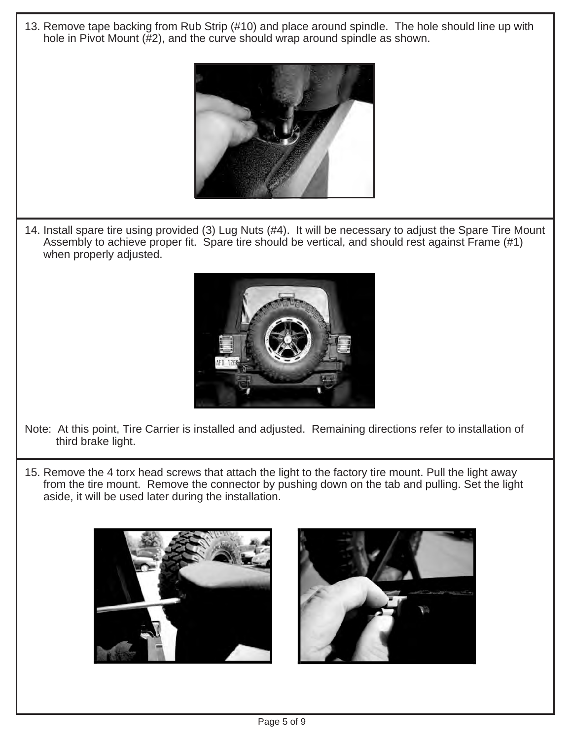13. Remove tape backing from Rub Strip (#10) and place around spindle. The hole should line up with hole in Pivot Mount (#2), and the curve should wrap around spindle as shown.



14. Install spare tire using provided (3) Lug Nuts (#4). It will be necessary to adjust the Spare Tire Mount Assembly to achieve proper fit. Spare tire should be vertical, and should rest against Frame (#1) when properly adjusted.



- Note: At this point, Tire Carrier is installed and adjusted. Remaining directions refer to installation of third brake light.
- 15. Remove the 4 torx head screws that attach the light to the factory tire mount. Pull the light away from the tire mount. Remove the connector by pushing down on the tab and pulling. Set the light aside, it will be used later during the installation.



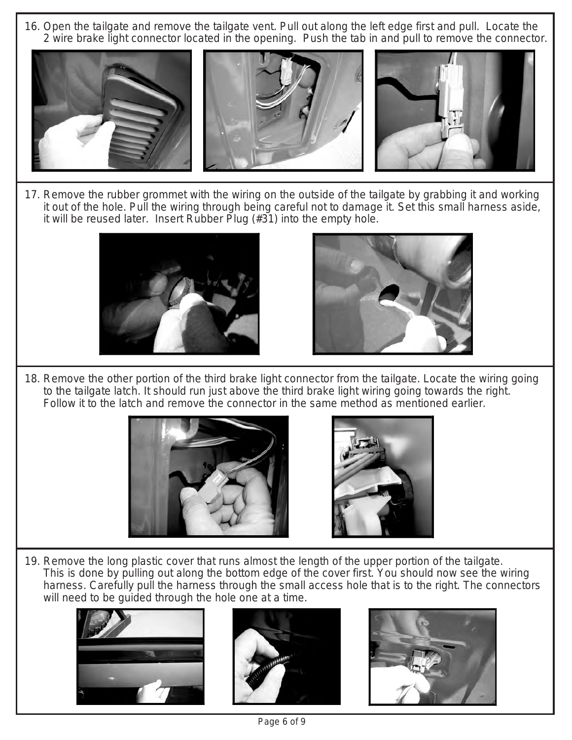16. Open the tailgate and remove the tailgate vent. Pull out along the left edge first and pull. Locate the 2 wire brake light connector located in the opening. Push the tab in and pull to remove the connector.



17. Remove the rubber grommet with the wiring on the outside of the tailgate by grabbing it and working it out of the hole. Pull the wiring through being careful not to damage it. Set this small harness aside, it will be reused later. Insert Rubber Plug (#31) into the empty hole.





18. Remove the other portion of the third brake light connector from the tailgate. Locate the wiring going to the tailgate latch. It should run just above the third brake light wiring going towards the right. Follow it to the latch and remove the connector in the same method as mentioned earlier.





19. Remove the long plastic cover that runs almost the length of the upper portion of the tailgate. This is done by pulling out along the bottom edge of the cover first. You should now see the wiring harness. Carefully pull the harness through the small access hole that is to the right. The connectors will need to be guided through the hole one at a time.





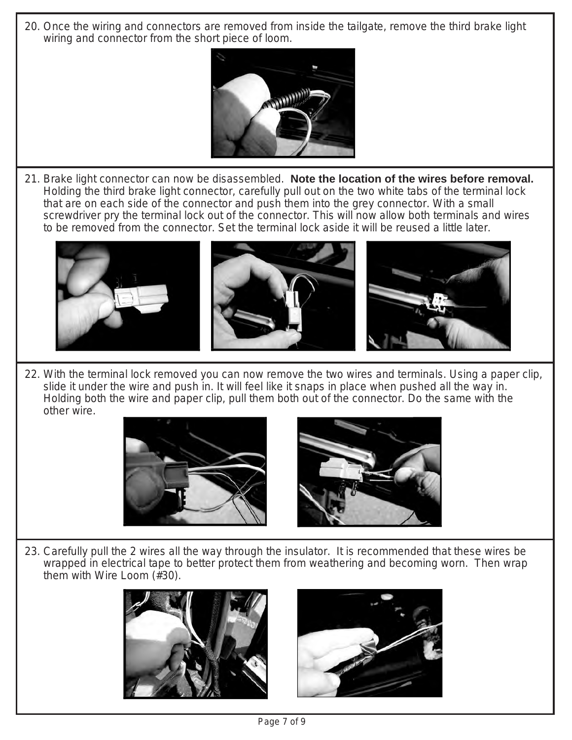20. Once the wiring and connectors are removed from inside the tailgate, remove the third brake light wiring and connector from the short piece of loom.



21. Brake light connector can now be disassembled. **Note the location of the wires before removal.**  Holding the third brake light connector, carefully pull out on the two white tabs of the terminal lock that are on each side of the connector and push them into the grey connector. With a small screwdriver pry the terminal lock out of the connector. This will now allow both terminals and wires to be removed from the connector. Set the terminal lock aside it will be reused a little later.



22. With the terminal lock removed you can now remove the two wires and terminals. Using a paper clip, slide it under the wire and push in. It will feel like it snaps in place when pushed all the way in. Holding both the wire and paper clip, pull them both out of the connector. Do the same with the other wire.





23. Carefully pull the 2 wires all the way through the insulator. It is recommended that these wires be wrapped in electrical tape to better protect them from weathering and becoming worn. Then wrap them with Wire Loom (#30).



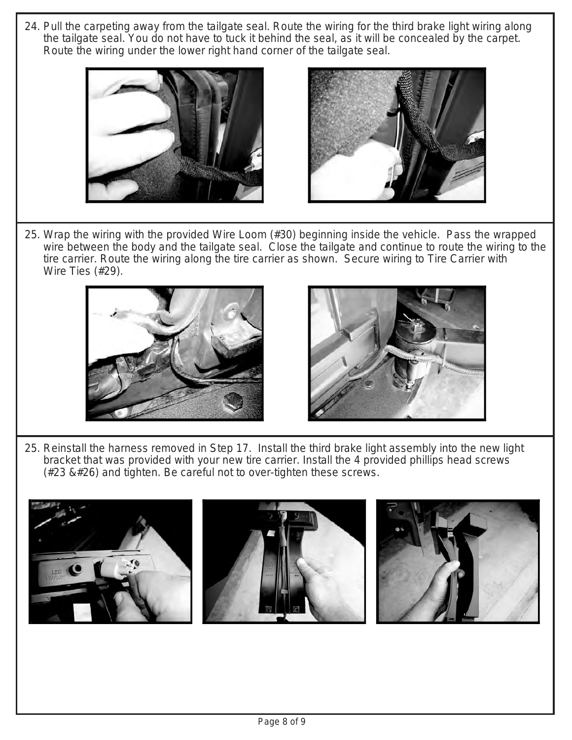24. Pull the carpeting away from the tailgate seal. Route the wiring for the third brake light wiring along the tailgate seal. You do not have to tuck it behind the seal, as it will be concealed by the carpet. Route the wiring under the lower right hand corner of the tailgate seal.





25. Wrap the wiring with the provided Wire Loom (#30) beginning inside the vehicle. Pass the wrapped wire between the body and the tailgate seal. Close the tailgate and continue to route the wiring to the tire carrier. Route the wiring along the tire carrier as shown. Secure wiring to Tire Carrier with Wire Ties (#29).





25. Reinstall the harness removed in Step 17. Install the third brake light assembly into the new light bracket that was provided with your new tire carrier. Install the 4 provided phillips head screws  $(#23 \& #26)$  and tighten. Be careful not to over-tighten these screws.